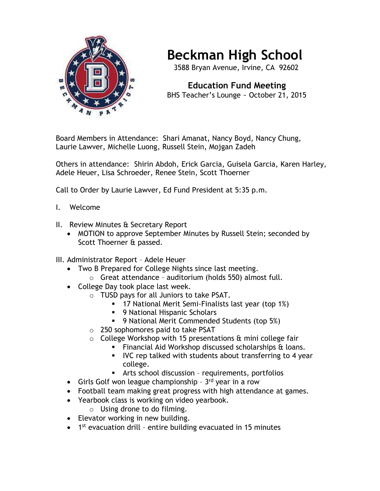

## **Beckman High School**

3588 Bryan Avenue, Irvine, CA 92602

 **Education Fund Meeting** BHS Teacher's Lounge ~ October 21, 2015

Board Members in Attendance: Shari Amanat, Nancy Boyd, Nancy Chung, Laurie Lawver, Michelle Luong, Russell Stein, Mojgan Zadeh

Others in attendance: Shirin Abdoh, Erick Garcia, Guisela Garcia, Karen Harley, Adele Heuer, Lisa Schroeder, Renee Stein, Scott Thoerner

Call to Order by Laurie Lawver, Ed Fund President at 5:35 p.m.

- I. Welcome
- II. Review Minutes & Secretary Report
	- MOTION to approve September Minutes by Russell Stein; seconded by Scott Thoerner & passed.
- III. Administrator Report Adele Heuer
	- Two B Prepared for College Nights since last meeting.
		- o Great attendance auditorium (holds 550) almost full.
	- College Day took place last week.
		- o TUSD pays for all Juniors to take PSAT.
			- 17 National Merit Semi-Finalists last year (top 1%)
			- **9 National Hispanic Scholars**
			- **9 National Merit Commended Students (top 5%)**
		- o 250 sophomores paid to take PSAT
		- $\circ$  College Workshop with 15 presentations  $\theta$  mini college fair
			- **Financial Aid Workshop discussed scholarships & loans.**
			- **IVC** rep talked with students about transferring to 4 year college.
			- Arts school discussion requirements, portfolios
	- Girls Golf won league championship 3rd year in a row
	- Football team making great progress with high attendance at games.
	- Yearbook class is working on video yearbook.
		- o Using drone to do filming.
	- Elevator working in new building.
	- 1<sup>st</sup> evacuation drill entire building evacuated in 15 minutes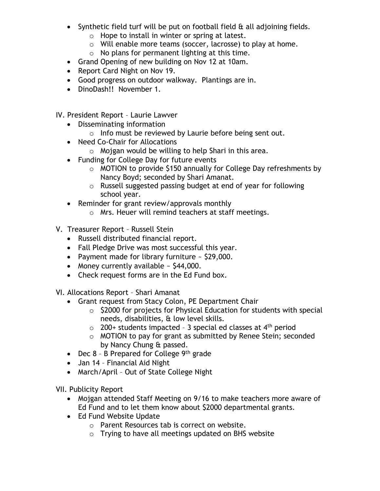- Synthetic field turf will be put on football field & all adjoining fields.
	- $\circ$  Hope to install in winter or spring at latest.
	- o Will enable more teams (soccer, lacrosse) to play at home.
	- $\circ$  No plans for permanent lighting at this time.
- Grand Opening of new building on Nov 12 at 10am.
- Report Card Night on Nov 19.
- Good progress on outdoor walkway. Plantings are in.
- DinoDash!! November 1.
- IV. President Report Laurie Lawver
	- Disseminating information
		- o Info must be reviewed by Laurie before being sent out.
	- Need Co-Chair for Allocations
		- $\circ$  Mojgan would be willing to help Shari in this area.
	- Funding for College Day for future events
		- o MOTION to provide \$150 annually for College Day refreshments by Nancy Boyd; seconded by Shari Amanat.
		- o Russell suggested passing budget at end of year for following school year.
	- Reminder for grant review/approvals monthly
		- o Mrs. Heuer will remind teachers at staff meetings.
- V. Treasurer Report Russell Stein
	- Russell distributed financial report.
	- Fall Pledge Drive was most successful this year.
	- Payment made for library furniture ~ \$29,000.
	- Money currently available  $\sim$  \$44,000.
	- Check request forms are in the Ed Fund box.

VI. Allocations Report – Shari Amanat

- Grant request from Stacy Colon, PE Department Chair
	- o \$2000 for projects for Physical Education for students with special needs, disabilities, & low level skills.
	- $\circ$  200+ students impacted 3 special ed classes at 4<sup>th</sup> period
	- o MOTION to pay for grant as submitted by Renee Stein; seconded by Nancy Chung & passed.
- Dec  $8 B$  Prepared for College  $9<sup>th</sup>$  grade
- Jan 14 Financial Aid Night
- March/April Out of State College Night

VII. Publicity Report

- Mojgan attended Staff Meeting on 9/16 to make teachers more aware of Ed Fund and to let them know about \$2000 departmental grants.
- Ed Fund Website Update
	- o Parent Resources tab is correct on website.
	- o Trying to have all meetings updated on BHS website